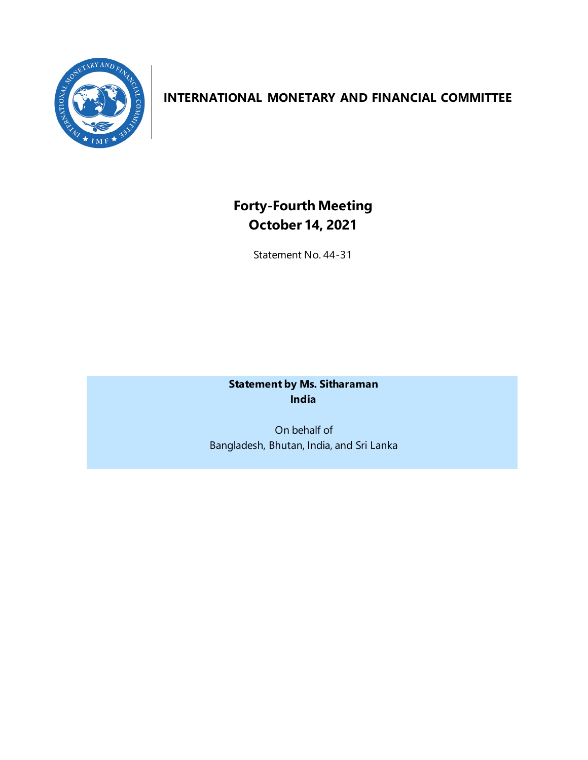

## **INTERNATIONAL MONETARY AND FINANCIAL COMMITTEE**

# **Forty-Fourth Meeting October 14, 2021**

Statement No. 44-31

**Statement by Ms. Sitharaman India**

On behalf of Bangladesh, Bhutan, India, and Sri Lanka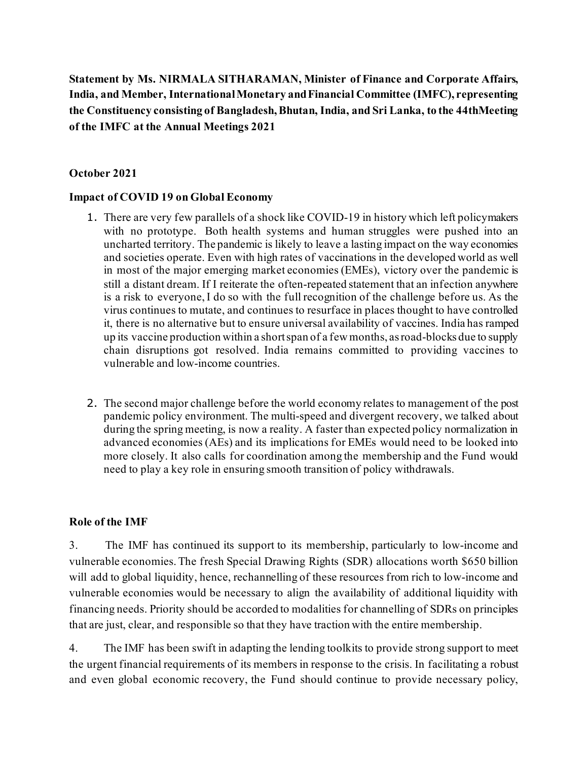**Statement by Ms. NIRMALA SITHARAMAN, Minister of Finance and Corporate Affairs, India, and Member, International Monetary and Financial Committee (IMFC), representing the Constituency consisting of Bangladesh, Bhutan, India, and Sri Lanka, to the 44thMeeting of the IMFC at the Annual Meetings 2021**

#### **October 2021**

#### **Impact of COVID 19 on Global Economy**

- 1. There are very few parallels of a shock like COVID-19 in history which left policymakers with no prototype. Both health systems and human struggles were pushed into an uncharted territory. The pandemic is likely to leave a lasting impact on the way economies and societies operate. Even with high rates of vaccinations in the developed world as well in most of the major emerging market economies (EMEs), victory over the pandemic is still a distant dream. If I reiterate the often-repeated statement that an infection anywhere is a risk to everyone, I do so with the full recognition of the challenge before us. As the virus continues to mutate, and continues to resurface in places thought to have controlled it, there is no alternative but to ensure universal availability of vaccines. India has ramped up its vaccine production within a short span of a few months, as road-blocks due to supply chain disruptions got resolved. India remains committed to providing vaccines to vulnerable and low-income countries.
- 2. The second major challenge before the world economy relates to management of the post pandemic policy environment. The multi-speed and divergent recovery, we talked about during the spring meeting, is now a reality. A faster than expected policy normalization in advanced economies (AEs) and its implications for EMEs would need to be looked into more closely. It also calls for coordination among the membership and the Fund would need to play a key role in ensuring smooth transition of policy withdrawals.

#### **Role of the IMF**

3. The IMF has continued its support to its membership, particularly to low-income and vulnerable economies. The fresh Special Drawing Rights (SDR) allocations worth \$650 billion will add to global liquidity, hence, rechannelling of these resources from rich to low-income and vulnerable economies would be necessary to align the availability of additional liquidity with financing needs. Priority should be accorded to modalities for channelling of SDRs on principles that are just, clear, and responsible so that they have traction with the entire membership.

4. The IMF has been swift in adapting the lending toolkits to provide strong support to meet the urgent financial requirements of its members in response to the crisis. In facilitating a robust and even global economic recovery, the Fund should continue to provide necessary policy,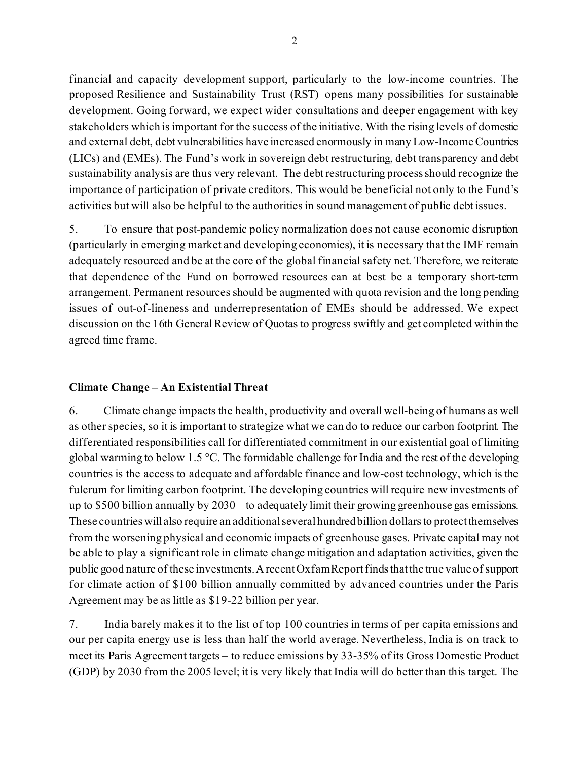financial and capacity development support, particularly to the low-income countries. The proposed Resilience and Sustainability Trust (RST) opens many possibilities for sustainable development. Going forward, we expect wider consultations and deeper engagement with key stakeholders which is important for the success of the initiative. With the rising levels of domestic and external debt, debt vulnerabilities have increased enormously in many Low-Income Countries (LICs) and (EMEs). The Fund's work in sovereign debt restructuring, debt transparency and debt sustainability analysis are thus very relevant. The debt restructuring process should recognize the importance of participation of private creditors. This would be beneficial not only to the Fund's activities but will also be helpful to the authorities in sound management of public debt issues.

5. To ensure that post-pandemic policy normalization does not cause economic disruption (particularly in emerging market and developing economies), it is necessary that the IMF remain adequately resourced and be at the core of the global financial safety net. Therefore, we reiterate that dependence of the Fund on borrowed resources can at best be a temporary short-term arrangement. Permanent resources should be augmented with quota revision and the long pending issues of out-of-lineness and underrepresentation of EMEs should be addressed. We expect discussion on the 16th General Review of Quotas to progress swiftly and get completed within the agreed time frame.

## **Climate Change – An Existential Threat**

6. Climate change impacts the health, productivity and overall well-being of humans as well as other species, so it is important to strategize what we can do to reduce our carbon footprint. The differentiated responsibilities call for differentiated commitment in our existential goal of limiting global warming to below 1.5 °C. The formidable challenge for India and the rest of the developing countries is the access to adequate and affordable finance and low-cost technology, which is the fulcrum for limiting carbon footprint. The developing countries will require new investments of up to \$500 billion annually by 2030 – to adequately limit their growing greenhouse gas emissions. These countries will also require an additional several hundred billion dollars to protect themselves from the worsening physical and economic impacts of greenhouse gases. Private capital may not be able to play a significant role in climate change mitigation and adaptation activities, given the public good nature of these investments. A recent Oxfam Report finds that the true value of support for climate action of \$100 billion annually committed by advanced countries under the Paris Agreement may be as little as \$19-22 billion per year.

7. India barely makes it to the list of top 100 countries in terms of per capita emissions and our per capita energy use is less than half the world average. Nevertheless, India is on track to meet its Paris Agreement targets – to reduce emissions by 33-35% of its Gross Domestic Product (GDP) by 2030 from the 2005 level; it is very likely that India will do better than this target. The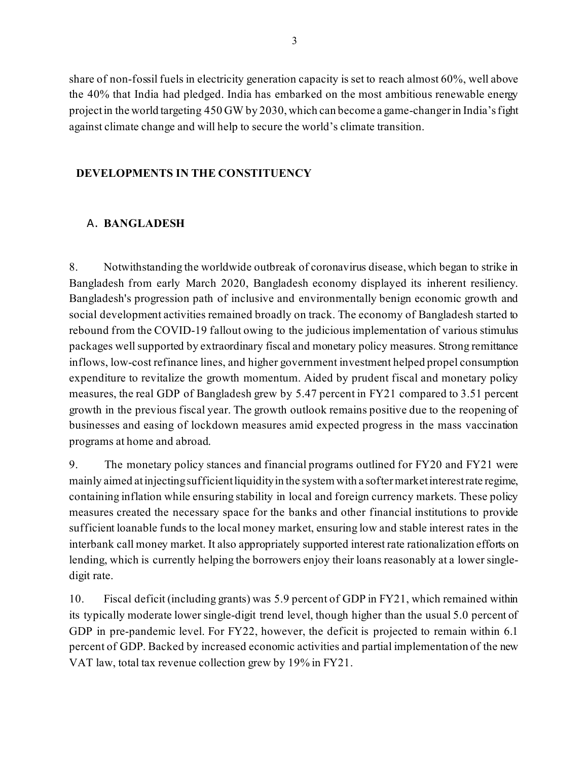share of non-fossil fuels in electricity generation capacity is set to reach almost 60%, well above the 40% that India had pledged. India has embarked on the most ambitious renewable energy project in the world targeting 450 GW by 2030, which can become a game-changer in India's fight against climate change and will help to secure the world's climate transition.

## **DEVELOPMENTS IN THE CONSTITUENCY**

## A. **BANGLADESH**

8. Notwithstanding the worldwide outbreak of coronavirus disease, which began to strike in Bangladesh from early March 2020, Bangladesh economy displayed its inherent resiliency. Bangladesh's progression path of inclusive and environmentally benign economic growth and social development activities remained broadly on track. The economy of Bangladesh started to rebound from the COVID-19 fallout owing to the judicious implementation of various stimulus packages well supported by extraordinary fiscal and monetary policy measures. Strong remittance inflows, low-cost refinance lines, and higher government investment helped propel consumption expenditure to revitalize the growth momentum. Aided by prudent fiscal and monetary policy measures, the real GDP of Bangladesh grew by 5.47 percent in FY21 compared to 3.51 percent growth in the previous fiscal year. The growth outlook remains positive due to the reopening of businesses and easing of lockdown measures amid expected progress in the mass vaccination programs at home and abroad.

9. The monetary policy stances and financial programs outlined for FY20 and FY21 were mainly aimed at injecting sufficient liquidity in the system with a softer market interest rate regime, containing inflation while ensuring stability in local and foreign currency markets. These policy measures created the necessary space for the banks and other financial institutions to provide sufficient loanable funds to the local money market, ensuring low and stable interest rates in the interbank call money market. It also appropriately supported interest rate rationalization efforts on lending, which is currently helping the borrowers enjoy their loans reasonably at a lower singledigit rate.

10. Fiscal deficit (including grants) was 5.9 percent of GDP in FY21, which remained within its typically moderate lower single-digit trend level, though higher than the usual 5.0 percent of GDP in pre-pandemic level. For FY22, however, the deficit is projected to remain within 6.1 percent of GDP. Backed by increased economic activities and partial implementation of the new VAT law, total tax revenue collection grew by 19% in FY21.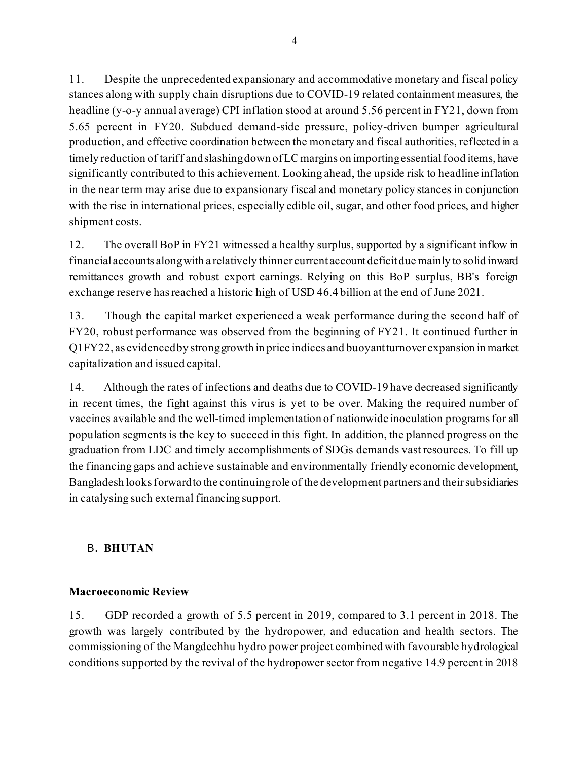11. Despite the unprecedented expansionary and accommodative monetary and fiscal policy stances along with supply chain disruptions due to COVID-19 related containment measures, the headline (y-o-y annual average) CPI inflation stood at around 5.56 percent in FY21, down from 5.65 percent in FY20. Subdued demand-side pressure, policy-driven bumper agricultural production, and effective coordination between the monetary and fiscal authorities, reflected in a timely reduction of tariff and slashing down of LC margins on importing essential food items, have significantly contributed to this achievement. Looking ahead, the upside risk to headline inflation in the near term may arise due to expansionary fiscal and monetary policy stances in conjunction with the rise in international prices, especially edible oil, sugar, and other food prices, and higher shipment costs.

12. The overall BoP in FY21 witnessed a healthy surplus, supported by a significant inflow in financial accounts along with a relatively thinner current account deficit due mainly to solid inward remittances growth and robust export earnings. Relying on this BoP surplus, BB's foreign exchange reserve has reached a historic high of USD 46.4 billion at the end of June 2021.

13. Though the capital market experienced a weak performance during the second half of FY20, robust performance was observed from the beginning of FY21. It continued further in Q1FY22, as evidenced by strong growth in price indices and buoyant turnover expansion in market capitalization and issued capital.

14. Although the rates of infections and deaths due to COVID-19 have decreased significantly in recent times, the fight against this virus is yet to be over. Making the required number of vaccines available and the well-timed implementation of nationwide inoculation programs for all population segments is the key to succeed in this fight. In addition, the planned progress on the graduation from LDC and timely accomplishments of SDGs demands vast resources. To fill up the financing gaps and achieve sustainable and environmentally friendly economic development, Bangladesh looks forward to the continuing role of the development partners and their subsidiaries in catalysing such external financing support.

## B. **BHUTAN**

## **Macroeconomic Review**

15. GDP recorded a growth of 5.5 percent in 2019, compared to 3.1 percent in 2018. The growth was largely contributed by the hydropower, and education and health sectors. The commissioning of the Mangdechhu hydro power project combined with favourable hydrological conditions supported by the revival of the hydropower sector from negative 14.9 percent in 2018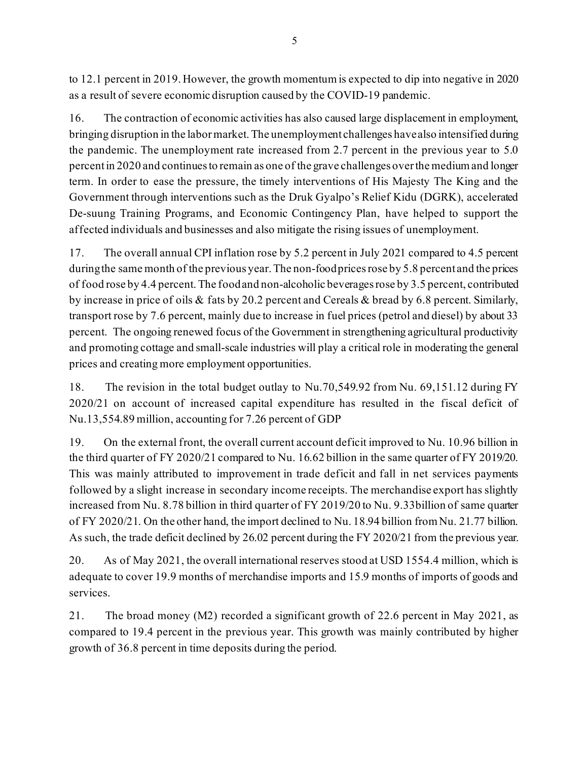to 12.1 percent in 2019. However, the growth momentum is expected to dip into negative in 2020 as a result of severe economic disruption caused by the COVID-19 pandemic.

16. The contraction of economic activities has also caused large displacement in employment, bringing disruption in the labor market. The unemployment challenges have also intensified during the pandemic. The unemployment rate increased from 2.7 percent in the previous year to 5.0 percent in 2020 and continues to remain as one of the grave challenges over the medium and longer term. In order to ease the pressure, the timely interventions of His Majesty The King and the Government through interventions such as the Druk Gyalpo's Relief Kidu (DGRK), accelerated De-suung Training Programs, and Economic Contingency Plan, have helped to support the affected individuals and businesses and also mitigate the rising issues of unemployment.

17. The overall annual CPI inflation rose by 5.2 percent in July 2021 compared to 4.5 percent during the same month of the previous year. The non-food prices rose by 5.8 percent and the prices of food rose by 4.4 percent. The food and non-alcoholic beverages rose by 3.5 percent, contributed by increase in price of oils & fats by 20.2 percent and Cereals & bread by 6.8 percent. Similarly, transport rose by 7.6 percent, mainly due to increase in fuel prices (petrol and diesel) by about 33 percent. The ongoing renewed focus of the Government in strengthening agricultural productivity and promoting cottage and small-scale industries will play a critical role in moderating the general prices and creating more employment opportunities.

18. The revision in the total budget outlay to Nu.70,549.92 from Nu. 69,151.12 during FY 2020/21 on account of increased capital expenditure has resulted in the fiscal deficit of Nu.13,554.89 million, accounting for 7.26 percent of GDP

19. On the external front, the overall current account deficit improved to Nu. 10.96 billion in the third quarter of FY 2020/21 compared to Nu. 16.62 billion in the same quarter of FY 2019/20. This was mainly attributed to improvement in trade deficit and fall in net services payments followed by a slight increase in secondary income receipts. The merchandise export has slightly increased from Nu. 8.78 billion in third quarter of FY 2019/20 to Nu. 9.33billion of same quarter of FY 2020/21. On the other hand, the import declined to Nu. 18.94 billion from Nu. 21.77 billion. As such, the trade deficit declined by 26.02 percent during the FY 2020/21 from the previous year.

20. As of May 2021, the overall international reserves stood at USD 1554.4 million, which is adequate to cover 19.9 months of merchandise imports and 15.9 months of imports of goods and services.

21. The broad money (M2) recorded a significant growth of 22.6 percent in May 2021, as compared to 19.4 percent in the previous year. This growth was mainly contributed by higher growth of 36.8 percent in time deposits during the period.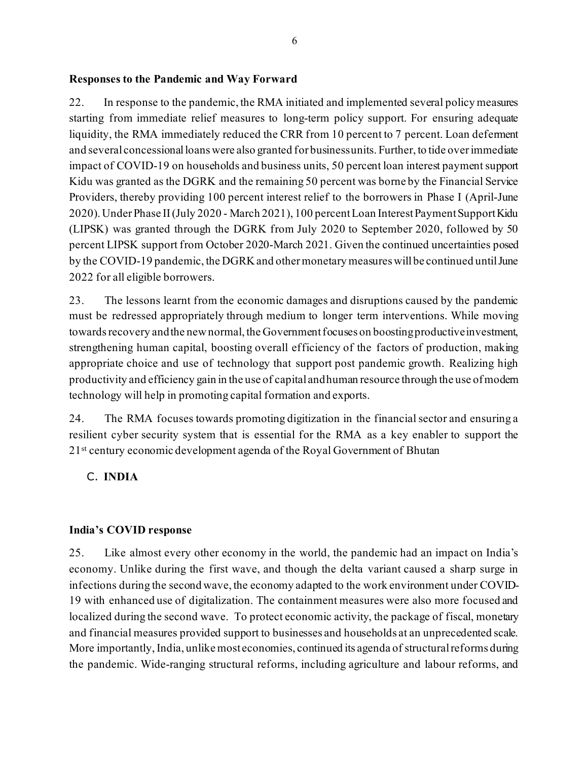## **Responses to the Pandemic and Way Forward**

22. In response to the pandemic, the RMA initiated and implemented several policy measures starting from immediate relief measures to long-term policy support. For ensuring adequate liquidity, the RMA immediately reduced the CRR from 10 percent to 7 percent. Loan deferment and several concessional loans were also granted for business units. Further, to tide over immediate impact of COVID-19 on households and business units, 50 percent loan interest payment support Kidu was granted as the DGRK and the remaining 50 percent was borne by the Financial Service Providers, thereby providing 100 percent interest relief to the borrowers in Phase I (April-June 2020). Under Phase II (July 2020 - March 2021), 100 percent Loan Interest Payment Support Kidu (LIPSK) was granted through the DGRK from July 2020 to September 2020, followed by 50 percent LIPSK support from October 2020-March 2021. Given the continued uncertainties posed by the COVID-19 pandemic, the DGRK and other monetary measures will be continued until June 2022 for all eligible borrowers.

23. The lessons learnt from the economic damages and disruptions caused by the pandemic must be redressed appropriately through medium to longer term interventions. While moving towards recovery and the new normal, the Government focuses on boosting productive investment, strengthening human capital, boosting overall efficiency of the factors of production, making appropriate choice and use of technology that support post pandemic growth. Realizing high productivity and efficiency gain in the use of capital and human resource through the use of modern technology will help in promoting capital formation and exports.

24. The RMA focuses towards promoting digitization in the financial sector and ensuring a resilient cyber security system that is essential for the RMA as a key enabler to support the 2<sup>1st</sup> century economic development agenda of the Royal Government of Bhutan

## C. **INDIA**

#### **India's COVID response**

25. Like almost every other economy in the world, the pandemic had an impact on India's economy. Unlike during the first wave, and though the delta variant caused a sharp surge in infections during the second wave, the economy adapted to the work environment under COVID-19 with enhanced use of digitalization. The containment measures were also more focused and localized during the second wave. To protect economic activity, the package of fiscal, monetary and financial measures provided support to businesses and households at an unprecedented scale. More importantly, India, unlike most economies, continued its agenda of structural reforms during the pandemic. Wide-ranging structural reforms, including agriculture and labour reforms, and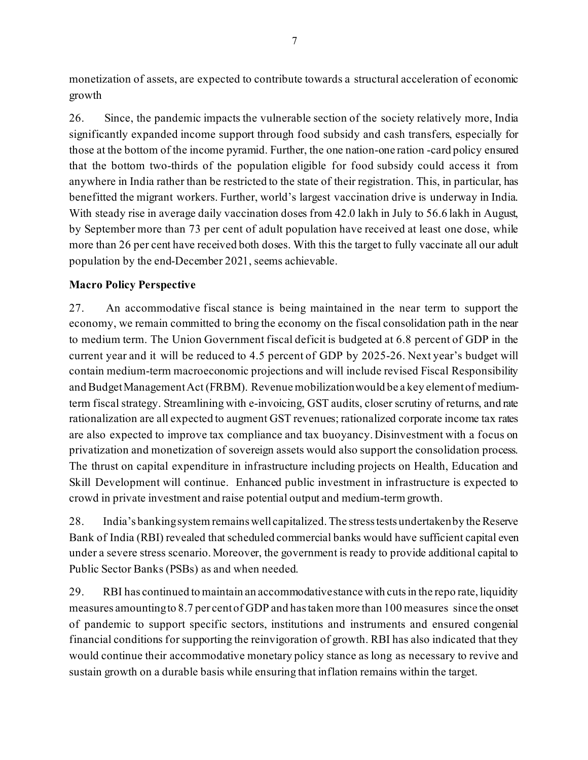monetization of assets, are expected to contribute towards a structural acceleration of economic growth

26. Since, the pandemic impacts the vulnerable section of the society relatively more, India significantly expanded income support through food subsidy and cash transfers, especially for those at the bottom of the income pyramid. Further, the one nation-one ration -card policy ensured that the bottom two-thirds of the population eligible for food subsidy could access it from anywhere in India rather than be restricted to the state of their registration. This, in particular, has benefitted the migrant workers. Further, world's largest vaccination drive is underway in India. With steady rise in average daily vaccination doses from 42.0 lakh in July to 56.6 lakh in August, by September more than 73 per cent of adult population have received at least one dose, while more than 26 per cent have received both doses. With this the target to fully vaccinate all our adult population by the end-December 2021, seems achievable.

## **Macro Policy Perspective**

27. An accommodative fiscal stance is being maintained in the near term to support the economy, we remain committed to bring the economy on the fiscal consolidation path in the near to medium term. The Union Government fiscal deficit is budgeted at 6.8 percent of GDP in the current year and it will be reduced to 4.5 percent of GDP by 2025-26. Next year's budget will contain medium-term macroeconomic projections and will include revised Fiscal Responsibility and Budget Management Act (FRBM). Revenue mobilization would be a key element of mediumterm fiscal strategy. Streamlining with e-invoicing, GST audits, closer scrutiny of returns, and rate rationalization are all expected to augment GST revenues; rationalized corporate income tax rates are also expected to improve tax compliance and tax buoyancy. Disinvestment with a focus on privatization and monetization of sovereign assets would also support the consolidation process. The thrust on capital expenditure in infrastructure including projects on Health, Education and Skill Development will continue. Enhanced public investment in infrastructure is expected to crowd in private investment and raise potential output and medium-term growth.

28. India's banking system remains well capitalized. The stress tests undertaken by the Reserve Bank of India (RBI) revealed that scheduled commercial banks would have sufficient capital even under a severe stress scenario. Moreover, the government is ready to provide additional capital to Public Sector Banks (PSBs) as and when needed.

29. RBI has continued to maintain an accommodative stance with cuts in the repo rate, liquidity measures amounting to 8.7 per cent of GDP and has taken more than 100 measures since the onset of pandemic to support specific sectors, institutions and instruments and ensured congenial financial conditions for supporting the reinvigoration of growth. RBI has also indicated that they would continue their accommodative monetary policy stance as long as necessary to revive and sustain growth on a durable basis while ensuring that inflation remains within the target.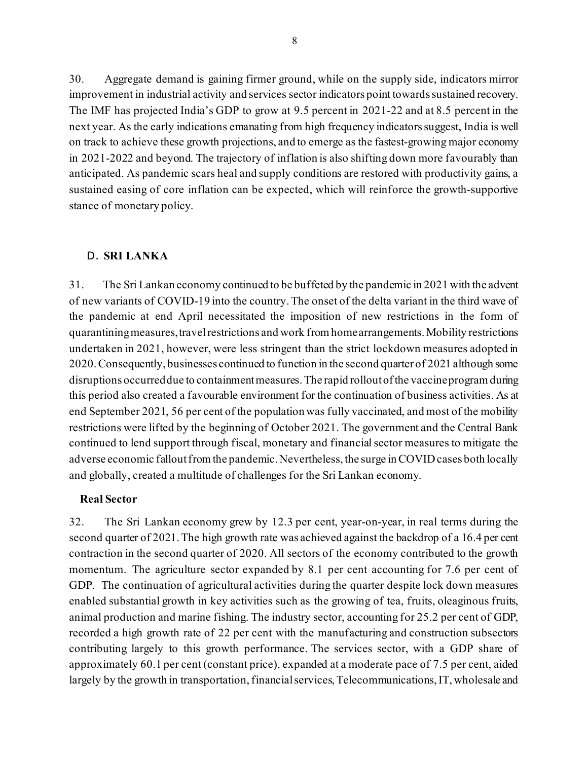30. Aggregate demand is gaining firmer ground, while on the supply side, indicators mirror improvement in industrial activity and services sector indicators point towards sustained recovery. The IMF has projected India's GDP to grow at 9.5 percent in 2021-22 and at 8.5 percent in the next year. As the early indications emanating from high frequency indicators suggest, India is well on track to achieve these growth projections, and to emerge as the fastest-growing major economy in 2021-2022 and beyond. The trajectory of inflation is also shifting down more favourably than anticipated. As pandemic scars heal and supply conditions are restored with productivity gains, a sustained easing of core inflation can be expected, which will reinforce the growth-supportive stance of monetary policy.

#### D. **SRI LANKA**

31. The Sri Lankan economy continued to be buffeted by the pandemic in 2021 with the advent of new variants of COVID-19 into the country. The onset of the delta variant in the third wave of the pandemic at end April necessitated the imposition of new restrictions in the form of quarantining measures, travel restrictions and work from home arrangements. Mobility restrictions undertaken in 2021, however, were less stringent than the strict lockdown measures adopted in 2020. Consequently, businesses continued to function in the second quarter of 2021 although some disruptions occurred due to containment measures. The rapid rollout of the vaccine program during this period also created a favourable environment for the continuation of business activities. As at end September 2021, 56 per cent of the population was fully vaccinated, and most of the mobility restrictions were lifted by the beginning of October 2021. The government and the Central Bank continued to lend support through fiscal, monetary and financial sector measures to mitigate the adverse economic fallout from the pandemic. Nevertheless, the surge in COVID cases both locally and globally, created a multitude of challenges for the Sri Lankan economy.

#### **Real Sector**

32. The Sri Lankan economy grew by 12.3 per cent, year-on-year, in real terms during the second quarter of 2021. The high growth rate was achieved against the backdrop of a 16.4 per cent contraction in the second quarter of 2020. All sectors of the economy contributed to the growth momentum. The agriculture sector expanded by 8.1 per cent accounting for 7.6 per cent of GDP. The continuation of agricultural activities during the quarter despite lock down measures enabled substantial growth in key activities such as the growing of tea, fruits, oleaginous fruits, animal production and marine fishing. The industry sector, accounting for 25.2 per cent of GDP, recorded a high growth rate of 22 per cent with the manufacturing and construction subsectors contributing largely to this growth performance. The services sector, with a GDP share of approximately 60.1 per cent (constant price), expanded at a moderate pace of 7.5 per cent, aided largely by the growth in transportation, financial services, Telecommunications, IT, wholesale and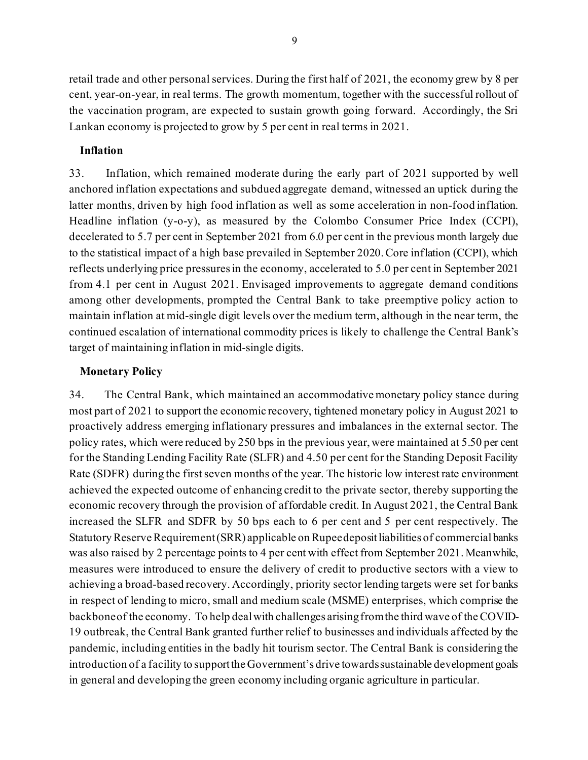retail trade and other personal services. During the first half of 2021, the economy grew by 8 per cent, year-on-year, in real terms. The growth momentum, together with the successful rollout of the vaccination program, are expected to sustain growth going forward. Accordingly, the Sri Lankan economy is projected to grow by 5 per cent in real terms in 2021.

#### **Inflation**

33. Inflation, which remained moderate during the early part of 2021 supported by well anchored inflation expectations and subdued aggregate demand, witnessed an uptick during the latter months, driven by high food inflation as well as some acceleration in non-food inflation. Headline inflation (y-o-y), as measured by the Colombo Consumer Price Index (CCPI), decelerated to 5.7 per cent in September 2021 from 6.0 per cent in the previous month largely due to the statistical impact of a high base prevailed in September 2020. Core inflation (CCPI), which reflects underlying price pressures in the economy, accelerated to 5.0 per cent in September 2021 from 4.1 per cent in August 2021. Envisaged improvements to aggregate demand conditions among other developments, prompted the Central Bank to take preemptive policy action to maintain inflation at mid-single digit levels over the medium term, although in the near term, the continued escalation of international commodity prices is likely to challenge the Central Bank's target of maintaining inflation in mid-single digits.

#### **Monetary Policy**

34. The Central Bank, which maintained an accommodative monetary policy stance during most part of 2021 to support the economic recovery, tightened monetary policy in August 2021 to proactively address emerging inflationary pressures and imbalances in the external sector. The policy rates, which were reduced by 250 bps in the previous year, were maintained at 5.50 per cent for the Standing Lending Facility Rate (SLFR) and 4.50 per cent for the Standing Deposit Facility Rate (SDFR) during the first seven months of the year. The historic low interest rate environment achieved the expected outcome of enhancing credit to the private sector, thereby supporting the economic recovery through the provision of affordable credit. In August 2021, the Central Bank increased the SLFR and SDFR by 50 bps each to 6 per cent and 5 per cent respectively. The Statutory Reserve Requirement (SRR) applicable on Rupee deposit liabilities of commercial banks was also raised by 2 percentage points to 4 per cent with effect from September 2021. Meanwhile, measures were introduced to ensure the delivery of credit to productive sectors with a view to achieving a broad-based recovery. Accordingly, priority sector lending targets were set for banks in respect of lending to micro, small and medium scale (MSME) enterprises, which comprise the backbone of the economy. To help deal with challenges arising from the third wave of the COVID-19 outbreak, the Central Bank granted further relief to businesses and individuals affected by the pandemic, including entities in the badly hit tourism sector. The Central Bank is considering the introduction of a facility to support the Government's drive towards sustainable development goals in general and developing the green economy including organic agriculture in particular.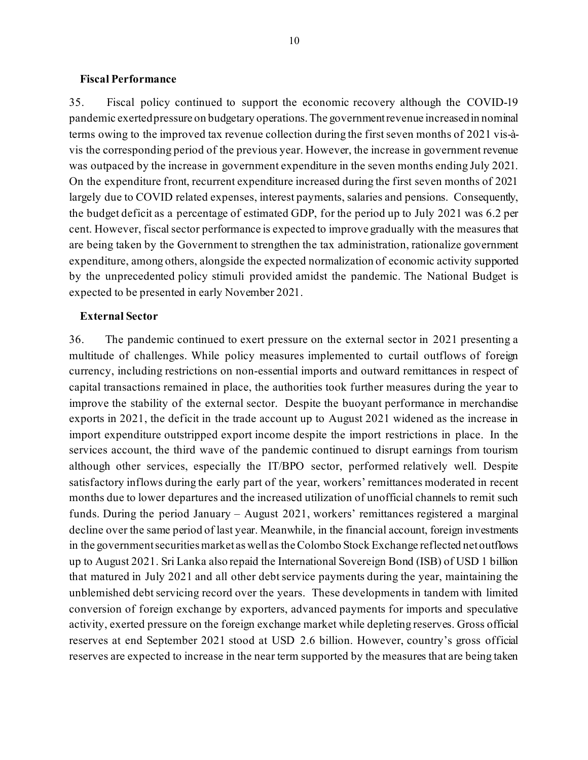#### **Fiscal Performance**

35. Fiscal policy continued to support the economic recovery although the COVID-19 pandemic exerted pressure on budgetary operations. The government revenue increased in nominal terms owing to the improved tax revenue collection during the first seven months of 2021 vis-àvis the corresponding period of the previous year. However, the increase in government revenue was outpaced by the increase in government expenditure in the seven months ending July 2021. On the expenditure front, recurrent expenditure increased during the first seven months of 2021 largely due to COVID related expenses, interest payments, salaries and pensions. Consequently, the budget deficit as a percentage of estimated GDP, for the period up to July 2021 was 6.2 per cent. However, fiscal sector performance is expected to improve gradually with the measures that are being taken by the Government to strengthen the tax administration, rationalize government expenditure, among others, alongside the expected normalization of economic activity supported by the unprecedented policy stimuli provided amidst the pandemic. The National Budget is expected to be presented in early November 2021.

#### **External Sector**

36. The pandemic continued to exert pressure on the external sector in 2021 presenting a multitude of challenges. While policy measures implemented to curtail outflows of foreign currency, including restrictions on non-essential imports and outward remittances in respect of capital transactions remained in place, the authorities took further measures during the year to improve the stability of the external sector. Despite the buoyant performance in merchandise exports in 2021, the deficit in the trade account up to August 2021 widened as the increase in import expenditure outstripped export income despite the import restrictions in place. In the services account, the third wave of the pandemic continued to disrupt earnings from tourism although other services, especially the IT/BPO sector, performed relatively well. Despite satisfactory inflows during the early part of the year, workers' remittances moderated in recent months due to lower departures and the increased utilization of unofficial channels to remit such funds. During the period January – August 2021, workers' remittances registered a marginal decline over the same period of last year. Meanwhile, in the financial account, foreign investments in the government securities market as well as the Colombo Stock Exchange reflected net outflows up to August 2021. Sri Lanka also repaid the International Sovereign Bond (ISB) of USD 1 billion that matured in July 2021 and all other debt service payments during the year, maintaining the unblemished debt servicing record over the years. These developments in tandem with limited conversion of foreign exchange by exporters, advanced payments for imports and speculative activity, exerted pressure on the foreign exchange market while depleting reserves. Gross official reserves at end September 2021 stood at USD 2.6 billion. However, country's gross official reserves are expected to increase in the near term supported by the measures that are being taken